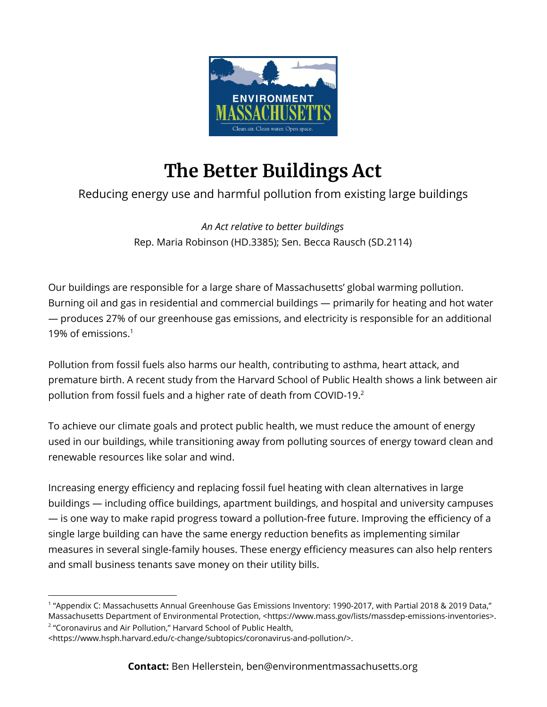

## **The Better Buildings Act**

## Reducing energy use and harmful pollution from existing large buildings

*An Act relative to better buildings* Rep. Maria Robinson (HD.3385); Sen. Becca Rausch (SD.2114)

Our buildings are responsible for a large share of Massachusetts' global warming pollution. Burning oil and gas in residential and commercial buildings — primarily for heating and hot water — produces 27% of our greenhouse gas emissions, and electricity is responsible for an additional 19% of emissions. 1

Pollution from fossil fuels also harms our health, contributing to asthma, heart attack, and premature birth. A recent study from the Harvard School of Public Health shows a link between air pollution from fossil fuels and a higher rate of death from COVID-19. 2

To achieve our climate goals and protect public health, we must reduce the amount of energy used in our buildings, while transitioning away from polluting sources of energy toward clean and renewable resources like solar and wind.

Increasing energy efficiency and replacing fossil fuel heating with clean alternatives in large buildings — including office buildings, apartment buildings, and hospital and university campuses — is one way to make rapid progress toward a pollution-free future. Improving the efficiency of a single large building can have the same energy reduction benefits as implementing similar measures in several single-family houses. These energy efficiency measures can also help renters and small business tenants save money on their utility bills.

<sup>2</sup> "Coronavirus and Air Pollution," Harvard School of Public Health,

<sup>1</sup> "Appendix C: Massachusetts Annual Greenhouse Gas Emissions Inventory: 1990-2017, with Partial 2018 & 2019 Data," Massachusetts Department of Environmental Protection, <https://www.mass.gov/lists/massdep-emissions-inventories>.

<sup>&</sup>lt;https://www.hsph.harvard.edu/c-change/subtopics/coronavirus-and-pollution/>.